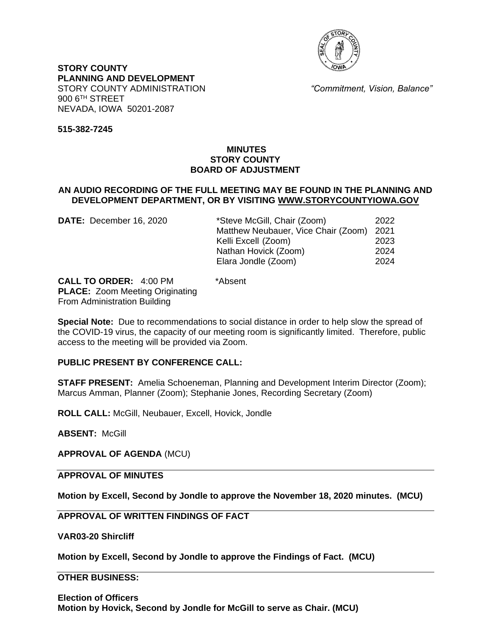

**STORY COUNTY PLANNING AND DEVELOPMENT** STORY COUNTY ADMINISTRATION *"Commitment, Vision, Balance"* 900 6TH STREET NEVADA, IOWA 50201-2087

**515-382-7245**

### **MINUTES STORY COUNTY BOARD OF ADJUSTMENT**

### **AN AUDIO RECORDING OF THE FULL MEETING MAY BE FOUND IN THE PLANNING AND DEVELOPMENT DEPARTMENT, OR BY VISITING [WWW.STORYCOUNTYIOWA.GOV](http://www.storycountyiowa.gov/)**

| DATE: December 16, 2020 | *Steve McGill, Chair (Zoom)         | 2022 |
|-------------------------|-------------------------------------|------|
|                         | Matthew Neubauer, Vice Chair (Zoom) | 2021 |
|                         | Kelli Excell (Zoom)                 | 2023 |
|                         | Nathan Hovick (Zoom)                | 2024 |
|                         | Elara Jondle (Zoom)                 | 2024 |
|                         |                                     |      |

**CALL TO ORDER:** 4:00 PM \*Absent **PLACE:** Zoom Meeting Originating From Administration Building

**Special Note:** Due to recommendations to social distance in order to help slow the spread of the COVID-19 virus, the capacity of our meeting room is significantly limited. Therefore, public access to the meeting will be provided via Zoom.

#### **PUBLIC PRESENT BY CONFERENCE CALL:**

**STAFF PRESENT:** Amelia Schoeneman, Planning and Development Interim Director (Zoom); Marcus Amman, Planner (Zoom); Stephanie Jones, Recording Secretary (Zoom)

**ROLL CALL:** McGill, Neubauer, Excell, Hovick, Jondle

**ABSENT:** McGill

**APPROVAL OF AGENDA** (MCU)

**APPROVAL OF MINUTES** 

**Motion by Excell, Second by Jondle to approve the November 18, 2020 minutes. (MCU)**

**APPROVAL OF WRITTEN FINDINGS OF FACT** 

**VAR03-20 Shircliff**

**Motion by Excell, Second by Jondle to approve the Findings of Fact. (MCU)**

**OTHER BUSINESS:**

**Election of Officers Motion by Hovick, Second by Jondle for McGill to serve as Chair. (MCU)**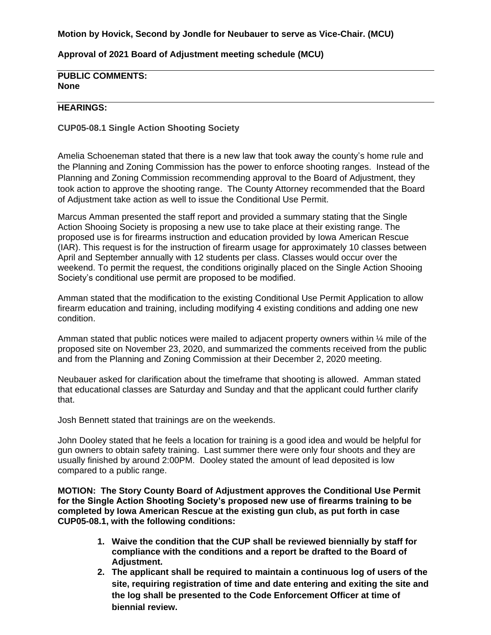#### **Motion by Hovick, Second by Jondle for Neubauer to serve as Vice-Chair. (MCU)**

#### **Approval of 2021 Board of Adjustment meeting schedule (MCU)**

# **PUBLIC COMMENTS: None**

### **HEARINGS:**

**CUP05-08.1 Single Action Shooting Society**

Amelia Schoeneman stated that there is a new law that took away the county's home rule and the Planning and Zoning Commission has the power to enforce shooting ranges. Instead of the Planning and Zoning Commission recommending approval to the Board of Adjustment, they took action to approve the shooting range. The County Attorney recommended that the Board of Adjustment take action as well to issue the Conditional Use Permit.

Marcus Amman presented the staff report and provided a summary stating that the Single Action Shooing Society is proposing a new use to take place at their existing range. The proposed use is for firearms instruction and education provided by Iowa American Rescue (IAR). This request is for the instruction of firearm usage for approximately 10 classes between April and September annually with 12 students per class. Classes would occur over the weekend. To permit the request, the conditions originally placed on the Single Action Shooing Society's conditional use permit are proposed to be modified.

Amman stated that the modification to the existing Conditional Use Permit Application to allow firearm education and training, including modifying 4 existing conditions and adding one new condition.

Amman stated that public notices were mailed to adjacent property owners within  $\frac{1}{4}$  mile of the proposed site on November 23, 2020, and summarized the comments received from the public and from the Planning and Zoning Commission at their December 2, 2020 meeting.

Neubauer asked for clarification about the timeframe that shooting is allowed. Amman stated that educational classes are Saturday and Sunday and that the applicant could further clarify that.

Josh Bennett stated that trainings are on the weekends.

John Dooley stated that he feels a location for training is a good idea and would be helpful for gun owners to obtain safety training. Last summer there were only four shoots and they are usually finished by around 2:00PM. Dooley stated the amount of lead deposited is low compared to a public range.

**MOTION: The Story County Board of Adjustment approves the Conditional Use Permit for the Single Action Shooting Society's proposed new use of firearms training to be completed by Iowa American Rescue at the existing gun club, as put forth in case CUP05-08.1, with the following conditions:**

- **1. Waive the condition that the CUP shall be reviewed biennially by staff for compliance with the conditions and a report be drafted to the Board of Adjustment.**
- **2. The applicant shall be required to maintain a continuous log of users of the site, requiring registration of time and date entering and exiting the site and the log shall be presented to the Code Enforcement Officer at time of biennial review.**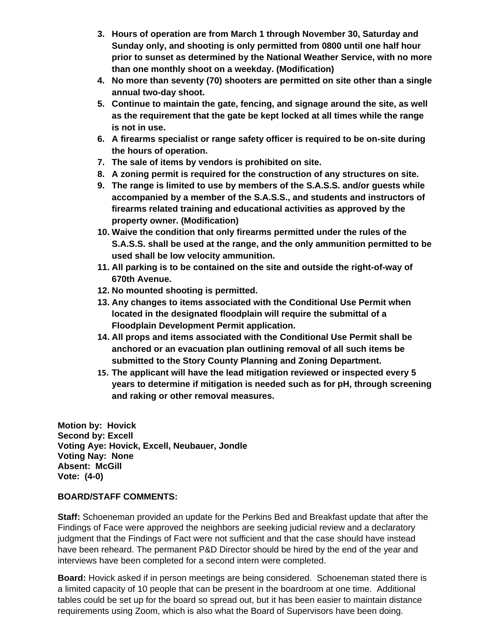- **3. Hours of operation are from March 1 through November 30, Saturday and Sunday only, and shooting is only permitted from 0800 until one half hour prior to sunset as determined by the National Weather Service, with no more than one monthly shoot on a weekday. (Modification)**
- **4. No more than seventy (70) shooters are permitted on site other than a single annual two-day shoot.**
- **5. Continue to maintain the gate, fencing, and signage around the site, as well as the requirement that the gate be kept locked at all times while the range is not in use.**
- **6. A firearms specialist or range safety officer is required to be on-site during the hours of operation.**
- **7. The sale of items by vendors is prohibited on site.**
- **8. A zoning permit is required for the construction of any structures on site.**
- **9. The range is limited to use by members of the S.A.S.S. and/or guests while accompanied by a member of the S.A.S.S., and students and instructors of firearms related training and educational activities as approved by the property owner. (Modification)**
- **10. Waive the condition that only firearms permitted under the rules of the S.A.S.S. shall be used at the range, and the only ammunition permitted to be used shall be low velocity ammunition.**
- **11. All parking is to be contained on the site and outside the right-of-way of 670th Avenue.**
- **12. No mounted shooting is permitted.**
- **13. Any changes to items associated with the Conditional Use Permit when located in the designated floodplain will require the submittal of a Floodplain Development Permit application.**
- **14. All props and items associated with the Conditional Use Permit shall be anchored or an evacuation plan outlining removal of all such items be submitted to the Story County Planning and Zoning Department.**
- **15. The applicant will have the lead mitigation reviewed or inspected every 5 years to determine if mitigation is needed such as for pH, through screening and raking or other removal measures.**

**Motion by: Hovick Second by: Excell Voting Aye: Hovick, Excell, Neubauer, Jondle Voting Nay: None Absent: McGill Vote: (4-0)**

## **BOARD/STAFF COMMENTS:**

**Staff:** Schoeneman provided an update for the Perkins Bed and Breakfast update that after the Findings of Face were approved the neighbors are seeking judicial review and a declaratory judgment that the Findings of Fact were not sufficient and that the case should have instead have been reheard. The permanent P&D Director should be hired by the end of the year and interviews have been completed for a second intern were completed.

**Board:** Hovick asked if in person meetings are being considered. Schoeneman stated there is a limited capacity of 10 people that can be present in the boardroom at one time. Additional tables could be set up for the board so spread out, but it has been easier to maintain distance requirements using Zoom, which is also what the Board of Supervisors have been doing.